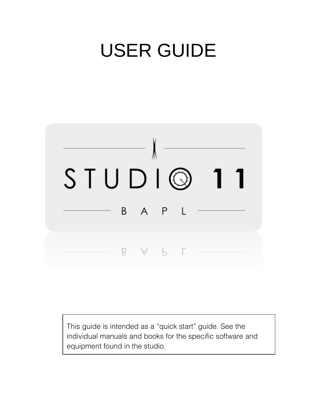# USER GUIDE



This guide is intended as a "quick start" guide. See the individual manuals and books for the specific software and equipment found in the studio.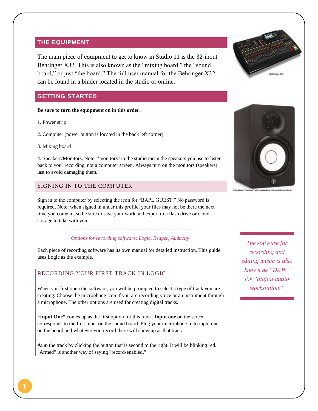#### **THE EQUIPMENT**

The main piece of equipment to get to know in Studio 11 is the 32-input Behringer X32. This is also known as the "mixing board," the "sound board," or just "the board." The full user manual for the Behringer X32 can be found in a binder located in the studio or online.

### **GETTING STARTED**

#### **Be sure to turn the equipment on in this order:**

1. Power strip

2. Computer (power button is located in the back left corner)

3. Mixing board

4. Speakers/Monitors. Note: "monitors" in the studio mean the speakers you use to listen back to your recording, not a computer screen. Always turn on the monitors (speakers) last to avoid damaging them.

### SIGNING IN TO THE COMPUTER





Sign in to the computer by selecting the icon for "BAPL GUEST." No password is required. Note: when signed in under this profile, your files may not be there the next time you come in, so be sure to save your work and export to a flash drive or cloud storage to take with you.

#### *Options for recording software: Logic, Reaper, Audacity*

Each piece of recording software has its own manual for detailed instruction. This guide uses Logic as the example.

#### RECORDING YOUR FIRST TRACK IN LOGIC

When you first open the software, you will be prompted to select a type of track you are creating. Choose the microphone icon if you are recording voice or an instrument through a microphone. The other options are used for creating digital tracks.

**"Input One"** comes up as the first option for this track. **Input one** on the screen corresponds to the first input on the sound board. Plug your microphone in to input one on the board and whatever you record there will show up as that track.

**Arm** the track by clicking the button that is second to the right. It will be blinking red. "Armed" is another way of saying "record-enabled."

*The software for recording and editing music is also known as "DAW" for "digital audio workstation."*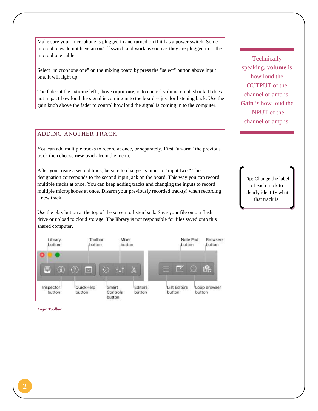Make sure your microphone is plugged in and turned on if it has a power switch. Some microphones do not have an on/off switch and work as soon as they are plugged in to the microphone cable.

Select "microphone one" on the mixing board by press the "select" button above input one. It will light up.

The fader at the extreme left (above **input one**) is to control volume on playback. It does not impact how loud the signal is coming in to the board -- just for listening back. Use the gain knob above the fader to control how loud the signal is coming in to the computer.

## ADDING ANOTHER TRACK

You can add multiple tracks to record at once, or separately. First "un-arm" the previous track then choose **new track** from the menu.

After you create a second track, be sure to change its input to "input two." This designation corresponds to the second input jack on the board. This way you can record multiple tracks at once. You can keep adding tracks and changing the inputs to record multiple microphones at once. Disarm your previously recorded track(s) when recording a new track.

Use the play button at the top of the screen to listen back. Save your file onto a flash drive or upload to cloud storage. The library is not responsible for files saved onto this shared computer.



*Logic Toolbar*

**Technically** speaking, v**olume** is how loud the OUTPUT of the channel or amp is. **Gain** is how loud the INPUT of the channel or amp is.

Tip: Change the label of each track to clearly identify what that track is.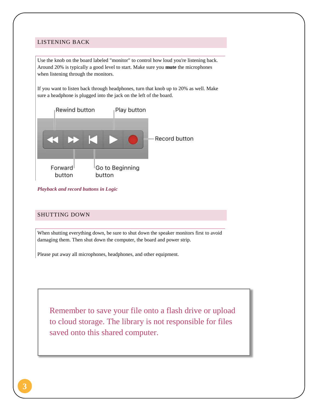#### LISTENING BACK

Use the knob on the board labeled "monitor" to control how loud you're listening back. Around 20% is typically a good level to start. Make sure you **mute** the microphones when listening through the monitors.

If you want to listen back through headphones, turn that knob up to 20% as well. Make sure a headphone is plugged into the jack on the left of the board.



*Playback and record buttons in Logic*

#### SHUTTING DOWN

When shutting everything down, be sure to shut down the speaker monitors first to avoid damaging them. Then shut down the computer, the board and power strip.

Please put away all microphones, headphones, and other equipment.

Remember to save your file onto a flash drive or upload to cloud storage. The library is not responsible for files saved onto this shared computer.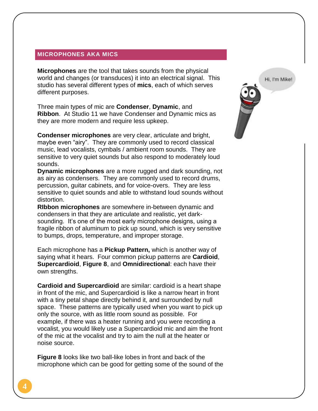## **MICROPHONES AKA MICS**

**Microphones** are the tool that takes sounds from the physical world and changes (or transduces) it into an electrical signal. This studio has several different types of **mics**, each of which serves different purposes.

Three main types of mic are **Condenser**, **Dynamic**, and **Ribbon**. At Studio 11 we have Condenser and Dynamic mics as they are more modern and require less upkeep.

**Condenser microphones** are very clear, articulate and bright, maybe even "airy". They are commonly used to record classical music, lead vocalists, cymbals / ambient room sounds. They are sensitive to very quiet sounds but also respond to moderately loud sounds.

**Dynamic microphones** are a more rugged and dark sounding, not as airy as condensers. They are commonly used to record drums, percussion, guitar cabinets, and for voice-overs. They are less sensitive to quiet sounds and able to withstand loud sounds without distortion.

**RIbbon microphones** are somewhere in-between dynamic and condensers in that they are articulate and realistic, yet darksounding. It's one of the most early microphone designs, using a fragile ribbon of aluminum to pick up sound, which is very sensitive to bumps, drops, temperature, and improper storage.

Each microphone has a **Pickup Pattern,** which is another way of saying what it hears. Four common pickup patterns are **Cardioid**, **Supercardioid**, **Figure 8**, and **Omnidirectional**: each have their own strengths.

**Cardioid and Supercardioid** are similar: cardioid is a heart shape in front of the mic, and Supercardioid is like a narrow heart in front with a tiny petal shape directly behind it, and surrounded by null space. These patterns are typically used when you want to pick up only the source, with as little room sound as possible. For example, if there was a heater running and you were recording a vocalist, you would likely use a Supercardioid mic and aim the front of the mic at the vocalist and try to aim the null at the heater or noise source.

**Figure 8** looks like two ball-like lobes in front and back of the microphone which can be good for getting some of the sound of the

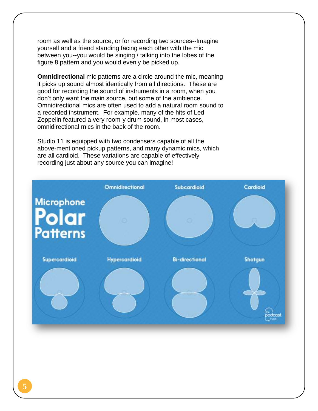room as well as the source, or for recording two sources--Imagine yourself and a friend standing facing each other with the mic between you--you would be singing / talking into the lobes of the figure 8 pattern and you would evenly be picked up.

**Omnidirectional** mic patterns are a circle around the mic, meaning it picks up sound almost identically from all directions. These are good for recording the sound of instruments in a room, when you don't only want the main source, but some of the ambience. Omnidirectional mics are often used to add a natural room sound to a recorded instrument. For example, many of the hits of Led Zeppelin featured a very room-y drum sound, in most cases, omnidirectional mics in the back of the room.

Studio 11 is equipped with two condensers capable of all the above-mentioned pickup patterns, and many dynamic mics, which are all cardioid. These variations are capable of effectively recording just about any source you can imagine!

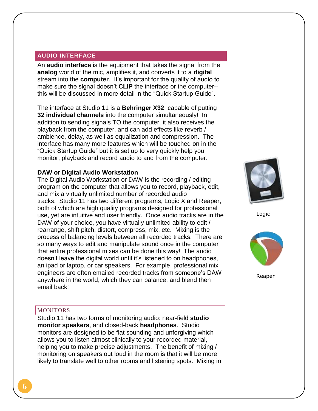## **AUDIO INTERFACE**

An **audio interface** is the equipment that takes the signal from the **analog** world of the mic, amplifies it, and converts it to a **digital** stream into the **computer**. It's important for the quality of audio to make sure the signal doesn't **CLIP** the interface or the computer- this will be discussed in more detail in the "Quick Startup Guide".

The interface at Studio 11 is a **Behringer X32**, capable of putting **32 individual channels** into the computer simultaneously! In addition to sending signals TO the computer, it also receives the playback from the computer, and can add effects like reverb / ambience, delay, as well as equalization and compression. The interface has many more features which will be touched on in the "Quick Startup Guide" but it is set up to very quickly help you monitor, playback and record audio to and from the computer.

## **DAW or Digital Audio Workstation**

The Digital Audio Workstation or DAW is the recording / editing program on the computer that allows you to record, playback, edit, and mix a virtually unlimited number of recorded audio tracks. Studio 11 has two different programs, Logic X and Reaper, both of which are high quality programs designed for professional use, yet are intuitive and user friendly. Once audio tracks are in the DAW of your choice, you have virtually unlimited ability to edit / rearrange, shift pitch, distort, compress, mix, etc. Mixing is the process of balancing levels between all recorded tracks. There are so many ways to edit and manipulate sound once in the computer that entire professional mixes can be done this way! The audio doesn't leave the digital world until it's listened to on headphones, an ipad or laptop, or car speakers. For example, professional mix engineers are often emailed recorded tracks from someone's DAW anywhere in the world, which they can balance, and blend then email back!



Logic



Reaper

#### **MONITORS**

Studio 11 has two forms of monitoring audio: near-field **studio monitor speakers**, and closed-back **headphones**. Studio monitors are designed to be flat sounding and unforgiving which allows you to listen almost clinically to your recorded material, helping you to make precise adjustments. The benefit of mixing / monitoring on speakers out loud in the room is that it will be more likely to translate well to other rooms and listening spots. Mixing in